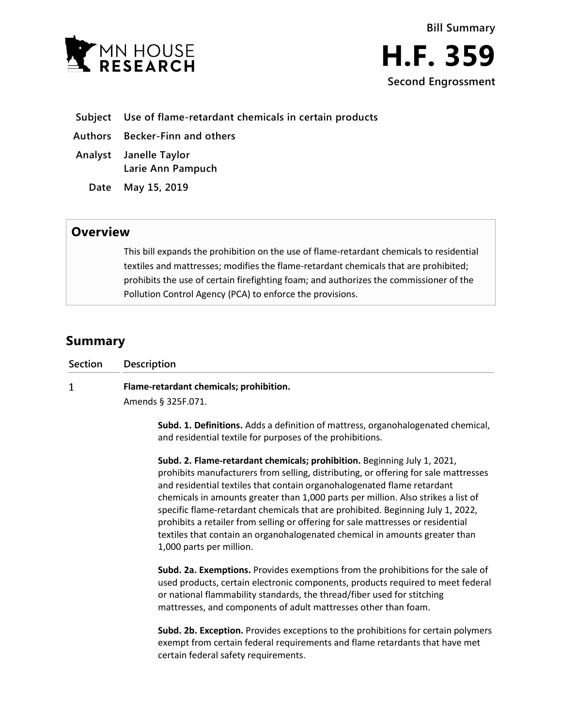



- **Subject Use of flame-retardant chemicals in certain products**
- **Authors Becker-Finn and others**
- **Analyst Janelle Taylor Larie Ann Pampuch**

**Date May 15, 2019**

## **Overview**

This bill expands the prohibition on the use of flame-retardant chemicals to residential textiles and mattresses; modifies the flame-retardant chemicals that are prohibited; prohibits the use of certain firefighting foam; and authorizes the commissioner of the Pollution Control Agency (PCA) to enforce the provisions.

## **Summary**

| Section | <b>Description</b>                                                                      |
|---------|-----------------------------------------------------------------------------------------|
|         | Flame-retardant chemicals; prohibition.                                                 |
|         | Amends § 325F.071.                                                                      |
|         | <b>Subd. 1. Definitions.</b> Adds a definition of mattress, organohalogenated chemical, |

**Subd. 1. Definitions.** Adds a definition of mattress, organohalogenated chemical, and residential textile for purposes of the prohibitions.

**Subd. 2. Flame-retardant chemicals; prohibition.** Beginning July 1, 2021, prohibits manufacturers from selling, distributing, or offering for sale mattresses and residential textiles that contain organohalogenated flame retardant chemicals in amounts greater than 1,000 parts per million. Also strikes a list of specific flame-retardant chemicals that are prohibited. Beginning July 1, 2022, prohibits a retailer from selling or offering for sale mattresses or residential textiles that contain an organohalogenated chemical in amounts greater than 1,000 parts per million.

**Subd. 2a. Exemptions.** Provides exemptions from the prohibitions for the sale of used products, certain electronic components, products required to meet federal or national flammability standards, the thread/fiber used for stitching mattresses, and components of adult mattresses other than foam.

**Subd. 2b. Exception.** Provides exceptions to the prohibitions for certain polymers exempt from certain federal requirements and flame retardants that have met certain federal safety requirements.